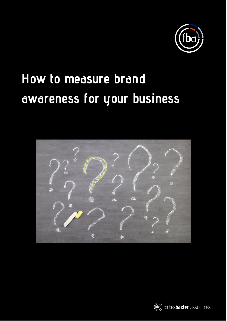

# **How to measure brand awareness for your business**



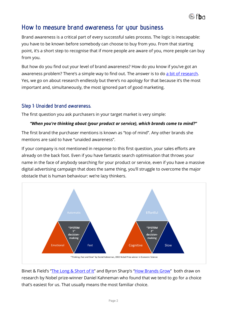

## **How to measure brand awareness for your business**

Brand awareness is a critical part of every successful sales process. The logic is inescapable: you have to be known before somebody can choose to buy from you. From that starting point, it's a short step to recognise that if more people are aware of you, more people can buy from you.

But how do you find out your level of brand awareness? How do you know if you've got an awareness problem? There's a simple way to find out. The answer is to do [a bit of research.](https://www.forbesbaxter.co.uk/market-research/) Yes, we go on about research endlessly but there's no apology for that because it's the most important and, simultaneously, the most ignored part of good marketing.

#### **Step 1: Unaided brand awareness.**

The first question you ask purchasers in your target market is very simple:

#### *"When you're thinking about {your product or service}, which brands come to mind?"*

The first brand the purchaser mentions is known as "top of mind". Any other brands she mentions are said to have "unaided awareness".

If your company is not mentioned in response to this first question, your sales efforts are already on the back foot. Even if you have fantastic search optimisation that throws your name in the face of anybody searching for your product or service, even if you have a massive digital advertising campaign that does the same thing, you'll struggle to overcome the major obstacle that is human behaviour: we're lazy thinkers.



Binet & Field's ["The Long & Short of It"](https://www.forbesbaxter.co.uk/2020/12/the-long-and-the-short-of-it-lessons-for-smes-strategy/) and Byron Sharp's ["How Brands Grow"](https://www.marketingscience.info/how-brands-grow/) both draw on research by Nobel prize-winner Daniel Kahneman who found that we tend to go for a choice that's easiest for us. That usually means the most familiar choice.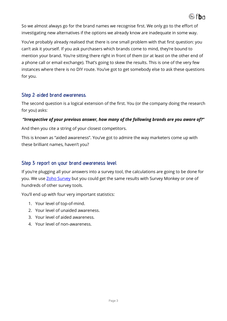

So we almost always go for the brand names we recognise first. We only go to the effort of investigating new alternatives if the options we already know are inadequate in some way.

You've probably already realised that there is one small problem with that first question: you can't ask it yourself. If you ask purchasers which brands come to mind, they're bound to mention your brand. You're sitting there right in front of them (or at least on the other end of a phone call or email exchange). That's going to skew the results. This is one of the very few instances where there is no DIY route. You've got to get somebody else to ask these questions for you.

#### **Step 2: aided brand awareness.**

The second question is a logical extension of the first. You (or the company doing the research for you) asks:

#### *"Irrespective of your previous answer, how many of the following brands are you aware of?"*

And then you cite a string of your closest competitors.

This is known as "aided awareness". You've got to admire the way marketers come up with these brilliant names, haven't you?

#### **Step 3: report on your brand awareness level.**

If you're plugging all your answers into a survey tool, the calculations are going to be done for you. We use **Zoho Survey** but you could get the same results with Survey Monkey or one of hundreds of other survey tools.

You'll end up with four very important statistics:

- 1. Your level of top-of-mind.
- 2. Your level of unaided awareness.
- 3. Your level of aided awareness.
- 4. Your level of non-awareness.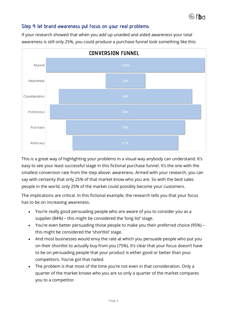

#### **Step 4: let brand awareness put focus on your real problems.**

If your research showed that when you add up unaided and aided awareness your total awareness is still only 25%, you could produce a purchase funnel look something like this:



This is a great way of highlighting your problems in a visual way anybody can understand. It's easy to see your least successful stage in this fictional purchase funnel. It's the one with the smallest conversion rate from the step above: awareness. Armed with your research, you can say with certainty that only 25% of that market know who you are. So with the best sales people in the world, only 25% of the market could possibly become your customers.

The implications are critical. In this fictional example, the research tells you that your focus has to be on increasing awareness.

- You're really good persuading people who are aware of you to consider you as a supplier (84%) – this might be considered the 'long list' stage.
- You're even better persuading those people to make you their preferred choice (95%) this might be considered the 'shortlist' stage.
- And most businesses would envy the rate at which you persuade people who put you on their shortlist to actually buy from you (75%). It's clear that your focus doesn't have to be on persuading people that your product is either good or better than your competitors. You've got that nailed.
- The problem is that most of the time you're not even in that consideration. Only a quarter of the market knows who you are so only a quarter of the market compares you to a competitor.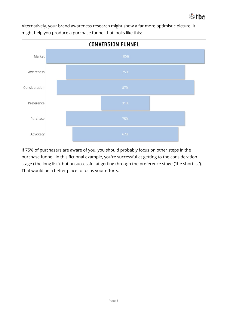

Alternatively, your brand awareness research might show a far more optimistic picture. It might help you produce a purchase funnel that looks like this:



If 75% of purchasers are aware of you, you should probably focus on other steps in the purchase funnel. In this fictional example, you're successful at getting to the consideration stage ('the long list'), but unsuccessful at getting through the preference stage ('the shortlist'). That would be a better place to focus your efforts.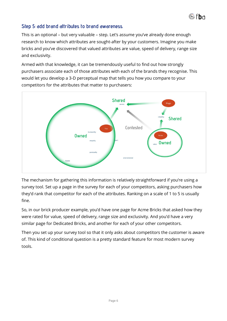

### **Step 5: add brand attributes to brand awareness.**

This is an optional – but very valuable – step. Let's assume you've already done enough research to know which attributes are sought-after by your customers. Imagine you make bricks and you've discovered that valued attributes are value, speed of delivery, range size and exclusivity.

Armed with that knowledge, it can be tremendously useful to find out how strongly purchasers associate each of those attributes with each of the brands they recognise. This would let you develop a 3-D perceptual map that tells you how you compare to your competitors for the attributes that matter to purchasers:



The mechanism for gathering this information is relatively straightforward if you're using a survey tool. Set up a page in the survey for each of your competitors, asking purchasers how they'd rank that competitor for each of the attributes. Ranking on a scale of 1 to 5 is usually fine.

So, in our brick producer example, you'd have one page for Acme Bricks that asked how they were rated for value, speed of delivery, range size and exclusivity. And you'd have a very similar page for Dedicated Bricks, and another for each of your other competitors.

Then you set up your survey tool so that it only asks about competitors the customer is aware of. This kind of conditional question is a pretty standard feature for most modern survey tools.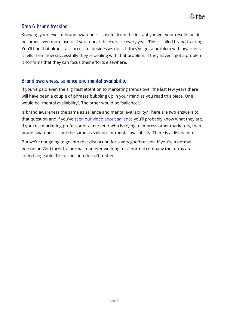

#### **Step 6: brand tracking.**

Knowing your level of brand awareness is useful from the instant you get your results but it becomes even more useful if you repeat the exercise every year. This is called brand tracking. You'll find that almost all successful businesses do it. If they've got a problem with awareness it tells them how successfully they're dealing with that problem. If they haven't got a problem, it confirms that they can focus their efforts elsewhere.

#### **Brand awareness, salience and mental availability.**

If you've paid even the slightest attention to marketing trends over the last few years there will have been a couple of phrases bubbling up in your mind as you read this piece. One would be "mental availability". The other would be "salience".

Is brand awareness the same as salience and mental availability? There are two answers to that question and if you've [seen our video about salience](https://www.forbesbaxter.co.uk/marketing-troubleshooter-snippets-001-salience/) you'll probably know what they are. If you're a marketing professor or a marketer who is trying to impress other marketers, then brand awareness is not the same as salience or mental availability. There is a distinction.

But we're not going to go into that distinction for a very good reason. If you're a normal person or, God forbid, a normal marketer working for a normal company the terms are interchangeable. The distinction doesn't matter.